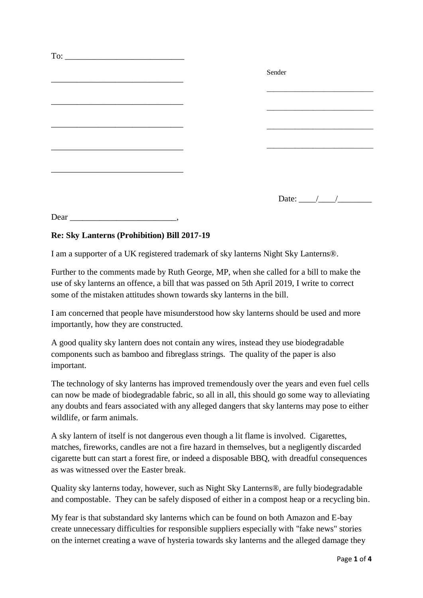|  | Sender                                                                                                                                                                                                                                                                                                                                                                                                                   |
|--|--------------------------------------------------------------------------------------------------------------------------------------------------------------------------------------------------------------------------------------------------------------------------------------------------------------------------------------------------------------------------------------------------------------------------|
|  |                                                                                                                                                                                                                                                                                                                                                                                                                          |
|  |                                                                                                                                                                                                                                                                                                                                                                                                                          |
|  |                                                                                                                                                                                                                                                                                                                                                                                                                          |
|  |                                                                                                                                                                                                                                                                                                                                                                                                                          |
|  |                                                                                                                                                                                                                                                                                                                                                                                                                          |
|  |                                                                                                                                                                                                                                                                                                                                                                                                                          |
|  |                                                                                                                                                                                                                                                                                                                                                                                                                          |
|  |                                                                                                                                                                                                                                                                                                                                                                                                                          |
|  | Date: $\frac{1}{\sqrt{1-\frac{1}{2}}}\frac{1}{\sqrt{1-\frac{1}{2}}}\frac{1}{\sqrt{1-\frac{1}{2}}}\frac{1}{\sqrt{1-\frac{1}{2}}}\frac{1}{\sqrt{1-\frac{1}{2}}}\frac{1}{\sqrt{1-\frac{1}{2}}}\frac{1}{\sqrt{1-\frac{1}{2}}}\frac{1}{\sqrt{1-\frac{1}{2}}}\frac{1}{\sqrt{1-\frac{1}{2}}}\frac{1}{\sqrt{1-\frac{1}{2}}}\frac{1}{\sqrt{1-\frac{1}{2}}}\frac{1}{\sqrt{1-\frac{1}{2}}}\frac{1}{\sqrt{1-\frac{1}{2}}}\frac{1}{\$ |
|  |                                                                                                                                                                                                                                                                                                                                                                                                                          |

## **Re: Sky Lanterns (Prohibition) Bill 2017-19**

Dear \_\_\_\_\_\_\_\_\_\_\_\_\_\_\_\_\_\_\_\_\_\_\_\_\_,

I am a supporter of a UK registered trademark of sky lanterns Night Sky Lanterns®.

Further to the comments made by Ruth George, MP, when she called for a bill to make the use of sky lanterns an offence, a bill that was passed on 5th April 2019, I write to correct some of the mistaken attitudes shown towards sky lanterns in the bill.

I am concerned that people have misunderstood how sky lanterns should be used and more importantly, how they are constructed.

A good quality sky lantern does not contain any wires, instead they use biodegradable components such as bamboo and fibreglass strings. The quality of the paper is also important.

The technology of sky lanterns has improved tremendously over the years and even fuel cells can now be made of biodegradable fabric, so all in all, this should go some way to alleviating any doubts and fears associated with any alleged dangers that sky lanterns may pose to either wildlife, or farm animals.

A sky lantern of itself is not dangerous even though a lit flame is involved. Cigarettes, matches, fireworks, candles are not a fire hazard in themselves, but a negligently discarded cigarette butt can start a forest fire, or indeed a disposable BBQ, with dreadful consequences as was witnessed over the Easter break.

Quality sky lanterns today, however, such as Night Sky Lanterns®, are fully biodegradable and compostable. They can be safely disposed of either in a compost heap or a recycling bin.

My fear is that substandard sky lanterns which can be found on both Amazon and E-bay create unnecessary difficulties for responsible suppliers especially with "fake news" stories on the internet creating a wave of hysteria towards sky lanterns and the alleged damage they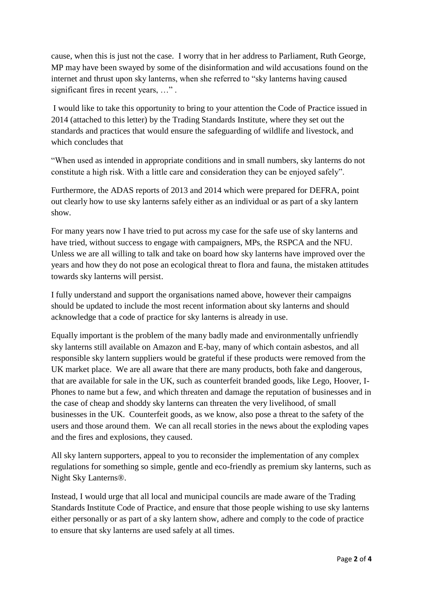cause, when this is just not the case. I worry that in her address to Parliament, Ruth George, MP may have been swayed by some of the disinformation and wild accusations found on the internet and thrust upon sky lanterns, when she referred to "sky lanterns having caused significant fires in recent years, ...".

I would like to take this opportunity to bring to your attention the Code of Practice issued in 2014 (attached to this letter) by the Trading Standards Institute, where they set out the standards and practices that would ensure the safeguarding of wildlife and livestock, and which concludes that

"When used as intended in appropriate conditions and in small numbers, sky lanterns do not constitute a high risk. With a little care and consideration they can be enjoyed safely".

Furthermore, the ADAS reports of 2013 and 2014 which were prepared for DEFRA, point out clearly how to use sky lanterns safely either as an individual or as part of a sky lantern show.

For many years now I have tried to put across my case for the safe use of sky lanterns and have tried, without success to engage with campaigners, MPs, the RSPCA and the NFU. Unless we are all willing to talk and take on board how sky lanterns have improved over the years and how they do not pose an ecological threat to flora and fauna, the mistaken attitudes towards sky lanterns will persist.

I fully understand and support the organisations named above, however their campaigns should be updated to include the most recent information about sky lanterns and should acknowledge that a code of practice for sky lanterns is already in use.

Equally important is the problem of the many badly made and environmentally unfriendly sky lanterns still available on Amazon and E-bay, many of which contain asbestos, and all responsible sky lantern suppliers would be grateful if these products were removed from the UK market place. We are all aware that there are many products, both fake and dangerous, that are available for sale in the UK, such as counterfeit branded goods, like Lego, Hoover, I-Phones to name but a few, and which threaten and damage the reputation of businesses and in the case of cheap and shoddy sky lanterns can threaten the very livelihood, of small businesses in the UK. Counterfeit goods, as we know, also pose a threat to the safety of the users and those around them. We can all recall stories in the news about the exploding vapes and the fires and explosions, they caused.

All sky lantern supporters, appeal to you to reconsider the implementation of any complex regulations for something so simple, gentle and eco-friendly as premium sky lanterns, such as Night Sky Lanterns®.

Instead, I would urge that all local and municipal councils are made aware of the Trading Standards Institute Code of Practice, and ensure that those people wishing to use sky lanterns either personally or as part of a sky lantern show, adhere and comply to the code of practice to ensure that sky lanterns are used safely at all times.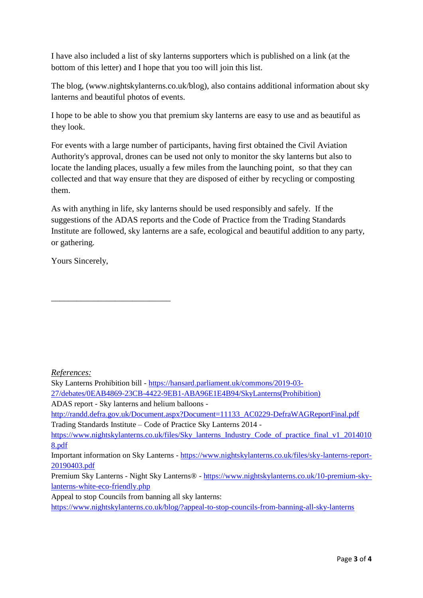I have also included a list of sky lanterns supporters which is published on a link (at the bottom of this letter) and I hope that you too will join this list.

The blog, (www.nightskylanterns.co.uk/blog), also contains additional information about sky lanterns and beautiful photos of events.

I hope to be able to show you that premium sky lanterns are easy to use and as beautiful as they look.

For events with a large number of participants, having first obtained the Civil Aviation Authority's approval, drones can be used not only to monitor the sky lanterns but also to locate the landing places, usually a few miles from the launching point, so that they can collected and that way ensure that they are disposed of either by recycling or composting them.

As with anything in life, sky lanterns should be used responsibly and safely. If the suggestions of the ADAS reports and the Code of Practice from the Trading Standards Institute are followed, sky lanterns are a safe, ecological and beautiful addition to any party, or gathering.

Yours Sincerely,

\_\_\_\_\_\_\_\_\_\_\_\_\_\_\_\_\_\_\_\_\_\_\_\_\_\_\_\_

*References:*

Sky Lanterns Prohibition bill - [https://hansard.parliament.uk/commons/2019-03-](https://hansard.parliament.uk/commons/2019-03-27/debates/0EAB4869-23CB-4422-9EB1-ABA96E1E4B94/SkyLanterns(Prohibition))

[27/debates/0EAB4869-23CB-4422-9EB1-ABA96E1E4B94/SkyLanterns\(Prohibition\)](https://hansard.parliament.uk/commons/2019-03-27/debates/0EAB4869-23CB-4422-9EB1-ABA96E1E4B94/SkyLanterns(Prohibition))

ADAS report - Sky lanterns and helium balloons -

[http://randd.defra.gov.uk/Document.aspx?Document=11133\\_AC0229-DefraWAGReportFinal.pdf](http://randd.defra.gov.uk/Document.aspx?Document=11133_AC0229-DefraWAGReportFinal.pdf) Trading Standards Institute – Code of Practice Sky Lanterns 2014 -

[https://www.nightskylanterns.co.uk/files/Sky\\_lanterns\\_Industry\\_Code\\_of\\_practice\\_final\\_v1\\_2014010](https://www.nightskylanterns.co.uk/files/Sky_lanterns_Industry_Code_of_practice_final_v1_20140108.pdf) [8.pdf](https://www.nightskylanterns.co.uk/files/Sky_lanterns_Industry_Code_of_practice_final_v1_20140108.pdf)

Important information on Sky Lanterns - [https://www.nightskylanterns.co.uk/files/sky-lanterns-report-](https://www.nightskylanterns.co.uk/files/sky-lanterns-report-20190403.pdf)[20190403.pdf](https://www.nightskylanterns.co.uk/files/sky-lanterns-report-20190403.pdf)

Premium Sky Lanterns - Night Sky Lanterns® - [https://www.nightskylanterns.co.uk/10-premium-sky](https://www.nightskylanterns.co.uk/10-premium-sky-lanterns-white-eco-friendly.php)[lanterns-white-eco-friendly.php](https://www.nightskylanterns.co.uk/10-premium-sky-lanterns-white-eco-friendly.php)

Appeal to stop Councils from banning all sky lanterns:

<https://www.nightskylanterns.co.uk/blog/?appeal-to-stop-councils-from-banning-all-sky-lanterns>